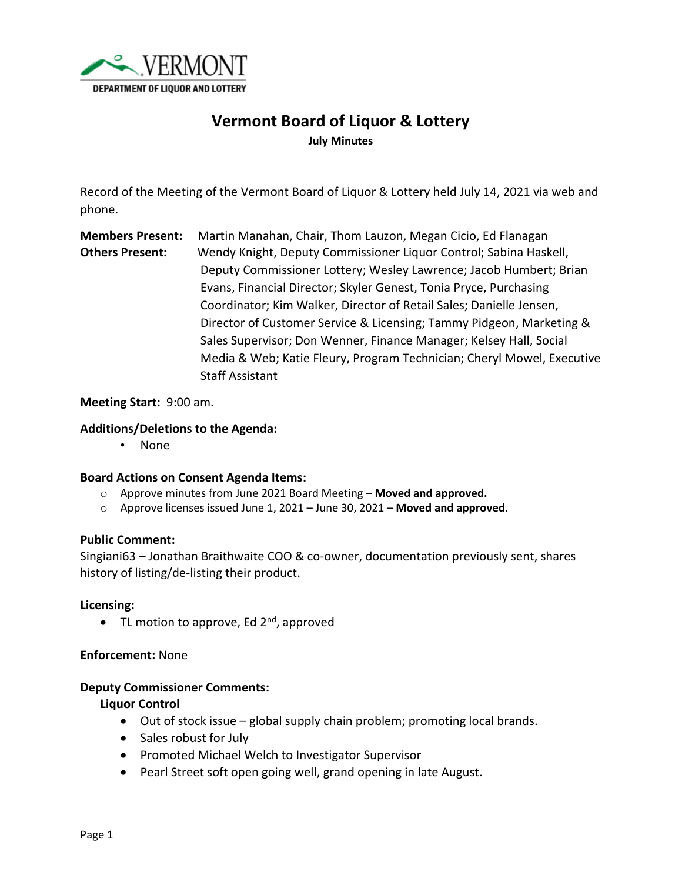

# **Vermont Board of Liquor & Lottery July Minutes**

Record of the Meeting of the Vermont Board of Liquor & Lottery held July 14, 2021 via web and phone.

**Members Present:** Martin Manahan, Chair, Thom Lauzon, Megan Cicio, Ed Flanagan **Others Present:** Wendy Knight, Deputy Commissioner Liquor Control; Sabina Haskell, Deputy Commissioner Lottery; Wesley Lawrence; Jacob Humbert; Brian Evans, Financial Director; Skyler Genest, Tonia Pryce, Purchasing Coordinator; Kim Walker, Director of Retail Sales; Danielle Jensen, Director of Customer Service & Licensing; Tammy Pidgeon, Marketing & Sales Supervisor; Don Wenner, Finance Manager; Kelsey Hall, Social Media & Web; Katie Fleury, Program Technician; Cheryl Mowel, Executive Staff Assistant

### **Meeting Start:** 9:00 am.

## **Additions/Deletions to the Agenda:**

• None

#### **Board Actions on Consent Agenda Items:**

- o Approve minutes from June 2021 Board Meeting **Moved and approved.**
- o Approve licenses issued June 1, 2021 June 30, 2021 **Moved and approved**.

#### **Public Comment:**

Singiani63 – Jonathan Braithwaite COO & co-owner, documentation previously sent, shares history of listing/de-listing their product.

#### **Licensing:**

• TL motion to approve, Ed  $2^{nd}$ , approved

#### **Enforcement:** None

#### **Deputy Commissioner Comments:**

#### **Liquor Control**

- Out of stock issue global supply chain problem; promoting local brands.
- Sales robust for July
- Promoted Michael Welch to Investigator Supervisor
- Pearl Street soft open going well, grand opening in late August.